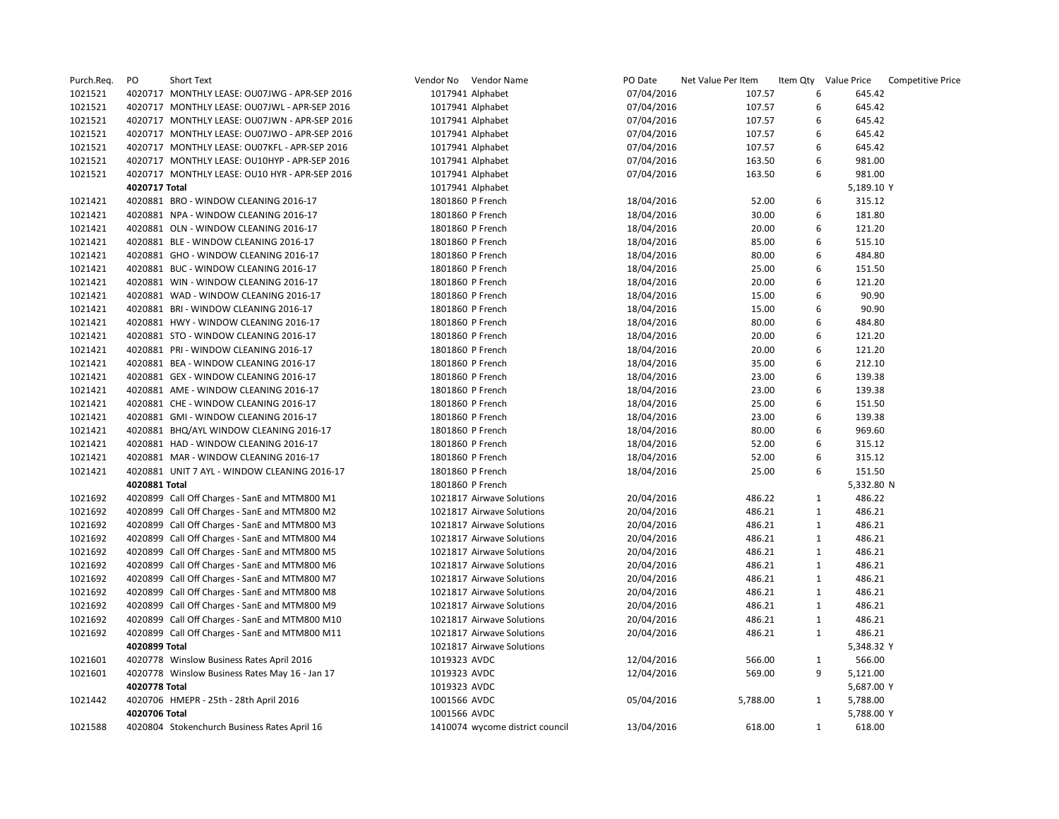| Purch.Req. | PO            | Short Text                                     |              | Vendor No Vendor Name           | PO Date    | Net Value Per Item |              | Item Qty Value Price | <b>Competitive Price</b> |
|------------|---------------|------------------------------------------------|--------------|---------------------------------|------------|--------------------|--------------|----------------------|--------------------------|
| 1021521    |               | 4020717 MONTHLY LEASE: OU07JWG - APR-SEP 2016  |              | 1017941 Alphabet                | 07/04/2016 | 107.57             | 6            | 645.42               |                          |
| 1021521    |               | 4020717 MONTHLY LEASE: OU07JWL - APR-SEP 2016  |              | 1017941 Alphabet                | 07/04/2016 | 107.57             | 6            | 645.42               |                          |
| 1021521    |               | 4020717 MONTHLY LEASE: OU07JWN - APR-SEP 2016  |              | 1017941 Alphabet                | 07/04/2016 | 107.57             | 6            | 645.42               |                          |
| 1021521    |               | 4020717 MONTHLY LEASE: OU07JWO - APR-SEP 2016  |              | 1017941 Alphabet                | 07/04/2016 | 107.57             | 6            | 645.42               |                          |
| 1021521    |               | 4020717 MONTHLY LEASE: OU07KFL - APR-SEP 2016  |              | 1017941 Alphabet                | 07/04/2016 | 107.57             | 6            | 645.42               |                          |
| 1021521    |               | 4020717 MONTHLY LEASE: OU10HYP - APR-SEP 2016  |              | 1017941 Alphabet                | 07/04/2016 | 163.50             | 6            | 981.00               |                          |
| 1021521    |               | 4020717 MONTHLY LEASE: OU10 HYR - APR-SEP 2016 |              | 1017941 Alphabet                | 07/04/2016 | 163.50             | 6            | 981.00               |                          |
|            | 4020717 Total |                                                |              | 1017941 Alphabet                |            |                    |              | 5,189.10 Y           |                          |
| 1021421    |               | 4020881 BRO - WINDOW CLEANING 2016-17          |              | 1801860 P French                | 18/04/2016 | 52.00              | 6            | 315.12               |                          |
| 1021421    |               | 4020881 NPA - WINDOW CLEANING 2016-17          |              | 1801860 P French                | 18/04/2016 | 30.00              | 6            | 181.80               |                          |
| 1021421    |               | 4020881 OLN - WINDOW CLEANING 2016-17          |              | 1801860 P French                | 18/04/2016 | 20.00              | 6            | 121.20               |                          |
| 1021421    |               | 4020881 BLE - WINDOW CLEANING 2016-17          |              | 1801860 P French                | 18/04/2016 | 85.00              | 6            | 515.10               |                          |
| 1021421    |               | 4020881 GHO - WINDOW CLEANING 2016-17          |              | 1801860 P French                | 18/04/2016 | 80.00              | 6            | 484.80               |                          |
| 1021421    |               | 4020881 BUC - WINDOW CLEANING 2016-17          |              | 1801860 P French                | 18/04/2016 | 25.00              | 6            | 151.50               |                          |
| 1021421    |               | 4020881 WIN - WINDOW CLEANING 2016-17          |              | 1801860 P French                | 18/04/2016 | 20.00              | 6            | 121.20               |                          |
| 1021421    |               | 4020881 WAD - WINDOW CLEANING 2016-17          |              | 1801860 P French                | 18/04/2016 | 15.00              | 6            | 90.90                |                          |
| 1021421    |               | 4020881 BRI - WINDOW CLEANING 2016-17          |              | 1801860 P French                | 18/04/2016 | 15.00              | 6            | 90.90                |                          |
| 1021421    |               | 4020881 HWY - WINDOW CLEANING 2016-17          |              | 1801860 P French                | 18/04/2016 | 80.00              | 6            | 484.80               |                          |
| 1021421    |               | 4020881 STO - WINDOW CLEANING 2016-17          |              | 1801860 P French                | 18/04/2016 | 20.00              | 6            | 121.20               |                          |
| 1021421    |               | 4020881 PRI - WINDOW CLEANING 2016-17          |              | 1801860 P French                | 18/04/2016 | 20.00              | 6            | 121.20               |                          |
| 1021421    |               | 4020881 BEA - WINDOW CLEANING 2016-17          |              | 1801860 P French                | 18/04/2016 | 35.00              | 6            | 212.10               |                          |
| 1021421    |               | 4020881 GEX - WINDOW CLEANING 2016-17          |              | 1801860 P French                | 18/04/2016 | 23.00              | 6            | 139.38               |                          |
| 1021421    |               | 4020881 AME - WINDOW CLEANING 2016-17          |              | 1801860 P French                | 18/04/2016 | 23.00              | 6            | 139.38               |                          |
| 1021421    |               | 4020881 CHE - WINDOW CLEANING 2016-17          |              | 1801860 P French                | 18/04/2016 | 25.00              | 6            | 151.50               |                          |
| 1021421    |               | 4020881 GMI - WINDOW CLEANING 2016-17          |              | 1801860 P French                | 18/04/2016 | 23.00              | 6            | 139.38               |                          |
| 1021421    |               | 4020881 BHQ/AYL WINDOW CLEANING 2016-17        |              | 1801860 P French                | 18/04/2016 | 80.00              | 6            | 969.60               |                          |
| 1021421    |               | 4020881 HAD - WINDOW CLEANING 2016-17          |              | 1801860 P French                | 18/04/2016 | 52.00              | 6            | 315.12               |                          |
| 1021421    |               | 4020881 MAR - WINDOW CLEANING 2016-17          |              | 1801860 P French                | 18/04/2016 | 52.00              | 6            | 315.12               |                          |
| 1021421    |               | 4020881 UNIT 7 AYL - WINDOW CLEANING 2016-17   |              | 1801860 P French                | 18/04/2016 | 25.00              | 6            | 151.50               |                          |
|            | 4020881 Total |                                                |              | 1801860 P French                |            |                    |              | 5,332.80 N           |                          |
| 1021692    |               | 4020899 Call Off Charges - SanE and MTM800 M1  |              | 1021817 Airwave Solutions       | 20/04/2016 | 486.22             | $\mathbf{1}$ | 486.22               |                          |
| 1021692    |               | 4020899 Call Off Charges - SanE and MTM800 M2  |              | 1021817 Airwave Solutions       | 20/04/2016 | 486.21             | $\mathbf{1}$ | 486.21               |                          |
| 1021692    |               | 4020899 Call Off Charges - SanE and MTM800 M3  |              | 1021817 Airwave Solutions       | 20/04/2016 | 486.21             | $\mathbf{1}$ | 486.21               |                          |
| 1021692    |               | 4020899 Call Off Charges - SanE and MTM800 M4  |              | 1021817 Airwave Solutions       | 20/04/2016 | 486.21             | $\mathbf{1}$ | 486.21               |                          |
| 1021692    |               | 4020899 Call Off Charges - SanE and MTM800 M5  |              | 1021817 Airwave Solutions       | 20/04/2016 | 486.21             | $\mathbf{1}$ | 486.21               |                          |
| 1021692    |               | 4020899 Call Off Charges - SanE and MTM800 M6  |              | 1021817 Airwave Solutions       | 20/04/2016 | 486.21             | $\mathbf{1}$ | 486.21               |                          |
| 1021692    |               | 4020899 Call Off Charges - SanE and MTM800 M7  |              | 1021817 Airwave Solutions       | 20/04/2016 | 486.21             | $\mathbf{1}$ | 486.21               |                          |
| 1021692    |               | 4020899 Call Off Charges - SanE and MTM800 M8  |              | 1021817 Airwave Solutions       | 20/04/2016 | 486.21             | $\mathbf{1}$ | 486.21               |                          |
| 1021692    |               | 4020899 Call Off Charges - SanE and MTM800 M9  |              | 1021817 Airwave Solutions       | 20/04/2016 | 486.21             | $\mathbf{1}$ | 486.21               |                          |
| 1021692    |               | 4020899 Call Off Charges - SanE and MTM800 M10 |              | 1021817 Airwave Solutions       | 20/04/2016 | 486.21             | $\mathbf{1}$ | 486.21               |                          |
| 1021692    |               | 4020899 Call Off Charges - SanE and MTM800 M11 |              | 1021817 Airwave Solutions       | 20/04/2016 | 486.21             | $\mathbf{1}$ | 486.21               |                          |
|            | 4020899 Total |                                                |              | 1021817 Airwave Solutions       |            |                    |              | 5,348.32 Y           |                          |
| 1021601    |               | 4020778 Winslow Business Rates April 2016      | 1019323 AVDC |                                 | 12/04/2016 | 566.00             | 1            | 566.00               |                          |
| 1021601    |               | 4020778 Winslow Business Rates May 16 - Jan 17 | 1019323 AVDC |                                 | 12/04/2016 | 569.00             | 9            | 5,121.00             |                          |
|            | 4020778 Total |                                                | 1019323 AVDC |                                 |            |                    |              | 5,687.00 Y           |                          |
| 1021442    |               | 4020706 HMEPR - 25th - 28th April 2016         | 1001566 AVDC |                                 | 05/04/2016 | 5,788.00           | 1            | 5,788.00             |                          |
|            | 4020706 Total |                                                | 1001566 AVDC |                                 |            |                    |              | 5,788.00 Y           |                          |
| 1021588    |               | 4020804 Stokenchurch Business Rates April 16   |              | 1410074 wycome district council | 13/04/2016 | 618.00             | 1            | 618.00               |                          |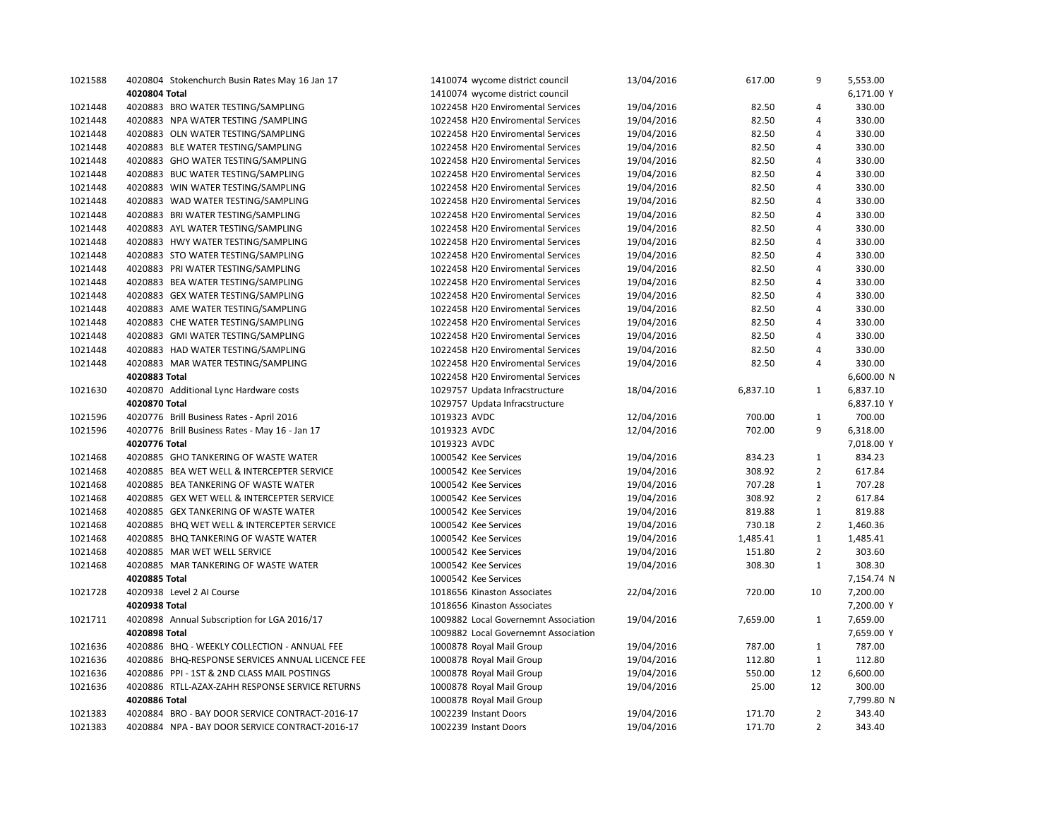| 1021588 | 4020804 Stokenchurch Busin Rates May 16 Jan 17   | 1410074 wycome district council      | 13/04/2016 | 617.00   | 9              | 5,553.00   |
|---------|--------------------------------------------------|--------------------------------------|------------|----------|----------------|------------|
|         | 4020804 Total                                    | 1410074 wycome district council      |            |          |                | 6,171.00 Y |
| 1021448 | 4020883 BRO WATER TESTING/SAMPLING               | 1022458 H20 Enviromental Services    | 19/04/2016 | 82.50    | $\overline{4}$ | 330.00     |
| 1021448 | 4020883 NPA WATER TESTING / SAMPLING             | 1022458 H20 Enviromental Services    | 19/04/2016 | 82.50    | 4              | 330.00     |
| 1021448 | 4020883 OLN WATER TESTING/SAMPLING               | 1022458 H20 Enviromental Services    | 19/04/2016 | 82.50    | $\overline{4}$ | 330.00     |
| 1021448 | 4020883 BLE WATER TESTING/SAMPLING               | 1022458 H20 Enviromental Services    | 19/04/2016 | 82.50    | $\overline{4}$ | 330.00     |
| 1021448 | 4020883 GHO WATER TESTING/SAMPLING               | 1022458 H20 Enviromental Services    | 19/04/2016 | 82.50    | $\overline{4}$ | 330.00     |
| 1021448 | 4020883 BUC WATER TESTING/SAMPLING               | 1022458 H20 Enviromental Services    | 19/04/2016 | 82.50    | $\overline{4}$ | 330.00     |
| 1021448 | 4020883 WIN WATER TESTING/SAMPLING               | 1022458 H20 Enviromental Services    | 19/04/2016 | 82.50    | $\overline{4}$ | 330.00     |
| 1021448 | 4020883 WAD WATER TESTING/SAMPLING               | 1022458 H20 Enviromental Services    | 19/04/2016 | 82.50    | $\overline{4}$ | 330.00     |
| 1021448 | 4020883 BRI WATER TESTING/SAMPLING               | 1022458 H20 Enviromental Services    | 19/04/2016 | 82.50    | $\overline{4}$ | 330.00     |
| 1021448 | 4020883 AYL WATER TESTING/SAMPLING               | 1022458 H20 Enviromental Services    | 19/04/2016 | 82.50    | 4              | 330.00     |
| 1021448 | 4020883 HWY WATER TESTING/SAMPLING               | 1022458 H20 Enviromental Services    | 19/04/2016 | 82.50    | $\overline{4}$ | 330.00     |
| 1021448 | 4020883 STO WATER TESTING/SAMPLING               | 1022458 H20 Enviromental Services    | 19/04/2016 | 82.50    | $\overline{4}$ | 330.00     |
| 1021448 | 4020883 PRI WATER TESTING/SAMPLING               | 1022458 H20 Enviromental Services    | 19/04/2016 | 82.50    | 4              | 330.00     |
| 1021448 | 4020883 BEA WATER TESTING/SAMPLING               | 1022458 H20 Enviromental Services    | 19/04/2016 | 82.50    | $\overline{4}$ | 330.00     |
| 1021448 | 4020883 GEX WATER TESTING/SAMPLING               | 1022458 H20 Enviromental Services    | 19/04/2016 | 82.50    | $\overline{4}$ | 330.00     |
| 1021448 | 4020883 AME WATER TESTING/SAMPLING               | 1022458 H20 Enviromental Services    | 19/04/2016 | 82.50    | $\overline{4}$ | 330.00     |
| 1021448 | 4020883 CHE WATER TESTING/SAMPLING               | 1022458 H20 Enviromental Services    | 19/04/2016 | 82.50    | 4              | 330.00     |
| 1021448 | 4020883 GMI WATER TESTING/SAMPLING               | 1022458 H20 Enviromental Services    | 19/04/2016 | 82.50    | $\overline{4}$ | 330.00     |
| 1021448 | 4020883 HAD WATER TESTING/SAMPLING               | 1022458 H20 Enviromental Services    | 19/04/2016 | 82.50    | $\overline{4}$ | 330.00     |
| 1021448 | 4020883 MAR WATER TESTING/SAMPLING               | 1022458 H20 Enviromental Services    | 19/04/2016 | 82.50    | $\overline{4}$ | 330.00     |
|         | 4020883 Total                                    | 1022458 H20 Enviromental Services    |            |          |                | 6,600.00 N |
| 1021630 | 4020870 Additional Lync Hardware costs           | 1029757 Updata Infracstructure       | 18/04/2016 | 6,837.10 | $\mathbf{1}$   | 6,837.10   |
|         | 4020870 Total                                    | 1029757 Updata Infracstructure       |            |          |                | 6,837.10 Y |
| 1021596 | 4020776 Brill Business Rates - April 2016        | 1019323 AVDC                         | 12/04/2016 | 700.00   | 1              | 700.00     |
| 1021596 | 4020776 Brill Business Rates - May 16 - Jan 17   | 1019323 AVDC                         | 12/04/2016 | 702.00   | 9              | 6,318.00   |
|         | 4020776 Total                                    | 1019323 AVDC                         |            |          |                | 7,018.00 Y |
| 1021468 | 4020885 GHO TANKERING OF WASTE WATER             | 1000542 Kee Services                 | 19/04/2016 | 834.23   | $\mathbf{1}$   | 834.23     |
| 1021468 | 4020885 BEA WET WELL & INTERCEPTER SERVICE       | 1000542 Kee Services                 | 19/04/2016 | 308.92   | $\overline{2}$ | 617.84     |
| 1021468 | 4020885 BEA TANKERING OF WASTE WATER             | 1000542 Kee Services                 | 19/04/2016 | 707.28   | $\mathbf{1}$   | 707.28     |
| 1021468 | 4020885 GEX WET WELL & INTERCEPTER SERVICE       | 1000542 Kee Services                 | 19/04/2016 | 308.92   | $\overline{2}$ | 617.84     |
| 1021468 | 4020885 GEX TANKERING OF WASTE WATER             | 1000542 Kee Services                 | 19/04/2016 | 819.88   | $\mathbf{1}$   | 819.88     |
| 1021468 | 4020885 BHQ WET WELL & INTERCEPTER SERVICE       | 1000542 Kee Services                 | 19/04/2016 | 730.18   | $\overline{2}$ | 1,460.36   |
| 1021468 | 4020885 BHQ TANKERING OF WASTE WATER             | 1000542 Kee Services                 | 19/04/2016 | 1,485.41 | $\mathbf{1}$   | 1,485.41   |
| 1021468 | 4020885 MAR WET WELL SERVICE                     | 1000542 Kee Services                 | 19/04/2016 | 151.80   | $\overline{2}$ | 303.60     |
| 1021468 | 4020885 MAR TANKERING OF WASTE WATER             | 1000542 Kee Services                 | 19/04/2016 | 308.30   | 1              | 308.30     |
|         | 4020885 Total                                    | 1000542 Kee Services                 |            |          |                | 7,154.74 N |
| 1021728 | 4020938 Level 2 Al Course                        | 1018656 Kinaston Associates          | 22/04/2016 | 720.00   | 10             | 7,200.00   |
|         | 4020938 Total                                    | 1018656 Kinaston Associates          |            |          |                | 7,200.00 Y |
| 1021711 | 4020898 Annual Subscription for LGA 2016/17      | 1009882 Local Governemnt Association | 19/04/2016 | 7,659.00 | 1              | 7,659.00   |
|         | 4020898 Total                                    | 1009882 Local Governemnt Association |            |          |                | 7,659.00 Y |
| 1021636 | 4020886 BHQ - WEEKLY COLLECTION - ANNUAL FEE     | 1000878 Royal Mail Group             | 19/04/2016 | 787.00   | 1              | 787.00     |
| 1021636 | 4020886 BHQ-RESPONSE SERVICES ANNUAL LICENCE FEE | 1000878 Royal Mail Group             | 19/04/2016 | 112.80   | 1              | 112.80     |
| 1021636 | 4020886 PPI - 1ST & 2ND CLASS MAIL POSTINGS      | 1000878 Royal Mail Group             | 19/04/2016 | 550.00   | 12             | 6,600.00   |
| 1021636 | 4020886 RTLL-AZAX-ZAHH RESPONSE SERVICE RETURNS  | 1000878 Royal Mail Group             | 19/04/2016 | 25.00    | 12             | 300.00     |
|         | 4020886 Total                                    | 1000878 Royal Mail Group             |            |          |                | 7,799.80 N |
| 1021383 | 4020884 BRO - BAY DOOR SERVICE CONTRACT-2016-17  | 1002239 Instant Doors                | 19/04/2016 | 171.70   | 2              | 343.40     |
| 1021383 | 4020884 NPA - BAY DOOR SERVICE CONTRACT-2016-17  | 1002239 Instant Doors                | 19/04/2016 | 171.70   | $\overline{2}$ | 343.40     |
|         |                                                  |                                      |            |          |                |            |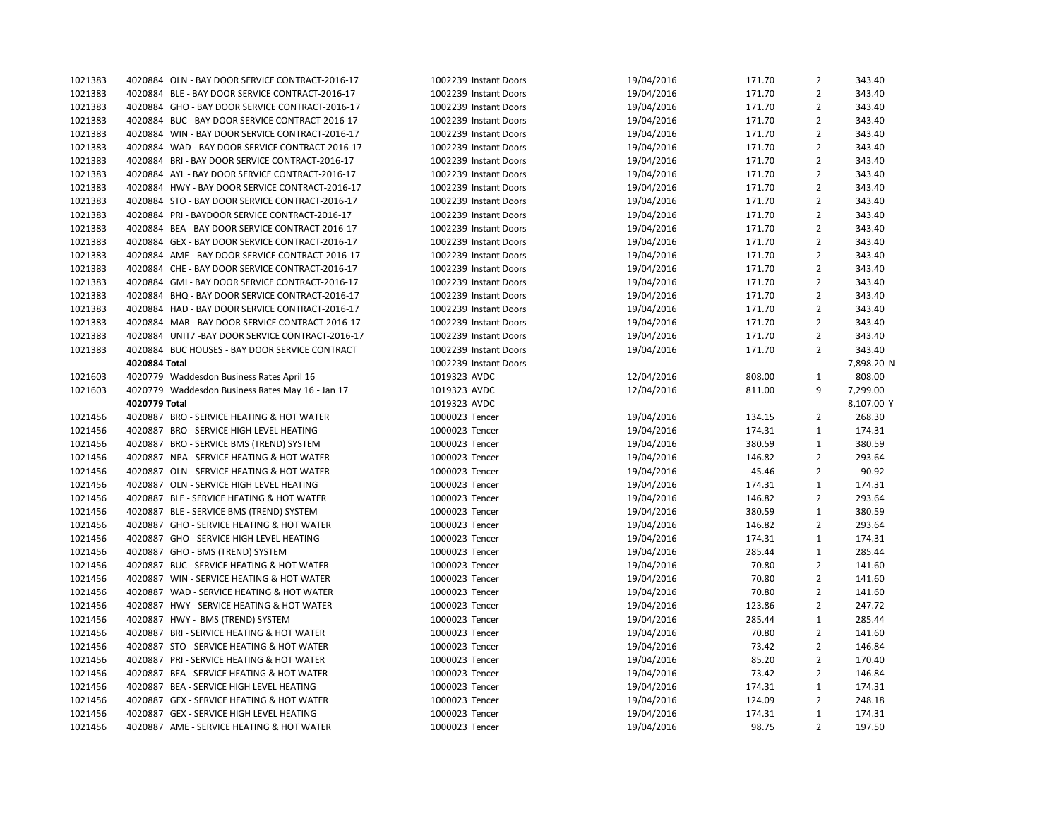| 1021383 | 4020884 OLN - BAY DOOR SERVICE CONTRACT-2016-17   | 1002239 Instant Doors | 19/04/2016 | 171.70 | $\overline{2}$ | 343.40           |
|---------|---------------------------------------------------|-----------------------|------------|--------|----------------|------------------|
| 1021383 | 4020884 BLE - BAY DOOR SERVICE CONTRACT-2016-17   | 1002239 Instant Doors | 19/04/2016 | 171.70 | $\overline{2}$ | 343.40           |
| 1021383 | 4020884 GHO - BAY DOOR SERVICE CONTRACT-2016-17   | 1002239 Instant Doors | 19/04/2016 | 171.70 | $\overline{2}$ | 343.40           |
| 1021383 | 4020884 BUC - BAY DOOR SERVICE CONTRACT-2016-17   | 1002239 Instant Doors | 19/04/2016 | 171.70 | $\overline{2}$ | 343.40           |
| 1021383 | 4020884 WIN - BAY DOOR SERVICE CONTRACT-2016-17   | 1002239 Instant Doors | 19/04/2016 | 171.70 | $\overline{2}$ | 343.40           |
| 1021383 | 4020884 WAD - BAY DOOR SERVICE CONTRACT-2016-17   | 1002239 Instant Doors | 19/04/2016 | 171.70 | $\overline{2}$ | 343.40           |
| 1021383 | 4020884 BRI-BAY DOOR SERVICE CONTRACT-2016-17     | 1002239 Instant Doors | 19/04/2016 | 171.70 | $\overline{2}$ | 343.40           |
| 1021383 | 4020884 AYL - BAY DOOR SERVICE CONTRACT-2016-17   | 1002239 Instant Doors | 19/04/2016 | 171.70 | $\overline{2}$ | 343.40           |
| 1021383 | 4020884 HWY - BAY DOOR SERVICE CONTRACT-2016-17   | 1002239 Instant Doors | 19/04/2016 | 171.70 | $\overline{2}$ | 343.40           |
| 1021383 | 4020884 STO - BAY DOOR SERVICE CONTRACT-2016-17   | 1002239 Instant Doors | 19/04/2016 | 171.70 | $\overline{2}$ | 343.40           |
| 1021383 | 4020884 PRI - BAYDOOR SERVICE CONTRACT-2016-17    | 1002239 Instant Doors | 19/04/2016 | 171.70 | 2              | 343.40           |
| 1021383 | 4020884 BEA - BAY DOOR SERVICE CONTRACT-2016-17   | 1002239 Instant Doors | 19/04/2016 | 171.70 | $\overline{2}$ | 343.40           |
| 1021383 | 4020884 GEX - BAY DOOR SERVICE CONTRACT-2016-17   | 1002239 Instant Doors | 19/04/2016 | 171.70 | 2              | 343.40           |
| 1021383 | 4020884 AME - BAY DOOR SERVICE CONTRACT-2016-17   | 1002239 Instant Doors | 19/04/2016 | 171.70 | $\overline{2}$ | 343.40           |
| 1021383 | 4020884 CHE - BAY DOOR SERVICE CONTRACT-2016-17   | 1002239 Instant Doors | 19/04/2016 | 171.70 | $\overline{2}$ | 343.40           |
| 1021383 | 4020884 GMI-BAY DOOR SERVICE CONTRACT-2016-17     | 1002239 Instant Doors | 19/04/2016 | 171.70 | $\overline{2}$ | 343.40           |
| 1021383 | 4020884 BHQ - BAY DOOR SERVICE CONTRACT-2016-17   | 1002239 Instant Doors | 19/04/2016 | 171.70 | $\overline{2}$ | 343.40           |
| 1021383 | 4020884 HAD - BAY DOOR SERVICE CONTRACT-2016-17   | 1002239 Instant Doors | 19/04/2016 | 171.70 | $\overline{2}$ | 343.40           |
| 1021383 | 4020884 MAR - BAY DOOR SERVICE CONTRACT-2016-17   | 1002239 Instant Doors | 19/04/2016 | 171.70 | $\overline{2}$ | 343.40           |
| 1021383 | 4020884 UNIT7 - BAY DOOR SERVICE CONTRACT-2016-17 | 1002239 Instant Doors | 19/04/2016 | 171.70 | $\overline{2}$ | 343.40           |
| 1021383 | 4020884 BUC HOUSES - BAY DOOR SERVICE CONTRACT    | 1002239 Instant Doors | 19/04/2016 | 171.70 | $\overline{2}$ | 343.40           |
|         | 4020884 Total                                     | 1002239 Instant Doors |            |        |                | 7,898.20 N       |
| 1021603 | 4020779 Waddesdon Business Rates April 16         | 1019323 AVDC          | 12/04/2016 | 808.00 | $\mathbf{1}$   | 808.00           |
| 1021603 | 4020779 Waddesdon Business Rates May 16 - Jan 17  | 1019323 AVDC          | 12/04/2016 | 811.00 | 9              | 7,299.00         |
|         | 4020779 Total                                     | 1019323 AVDC          |            |        |                | 8,107.00 Y       |
| 1021456 | 4020887 BRO - SERVICE HEATING & HOT WATER         | 1000023 Tencer        | 19/04/2016 | 134.15 | $\overline{2}$ | 268.30           |
| 1021456 | 4020887 BRO - SERVICE HIGH LEVEL HEATING          | 1000023 Tencer        | 19/04/2016 | 174.31 | $\mathbf{1}$   | 174.31           |
| 1021456 | 4020887 BRO - SERVICE BMS (TREND) SYSTEM          | 1000023 Tencer        | 19/04/2016 | 380.59 | $\mathbf{1}$   | 380.59           |
| 1021456 | 4020887 NPA - SERVICE HEATING & HOT WATER         | 1000023 Tencer        | 19/04/2016 | 146.82 | $\overline{2}$ | 293.64           |
| 1021456 | 4020887 OLN - SERVICE HEATING & HOT WATER         | 1000023 Tencer        | 19/04/2016 | 45.46  | $\overline{2}$ | 90.92            |
| 1021456 | 4020887 OLN - SERVICE HIGH LEVEL HEATING          | 1000023 Tencer        |            |        | $\mathbf{1}$   |                  |
|         |                                                   |                       | 19/04/2016 | 174.31 | $\overline{2}$ | 174.31<br>293.64 |
| 1021456 | 4020887 BLE - SERVICE HEATING & HOT WATER         | 1000023 Tencer        | 19/04/2016 | 146.82 |                |                  |
| 1021456 | 4020887 BLE - SERVICE BMS (TREND) SYSTEM          | 1000023 Tencer        | 19/04/2016 | 380.59 | $\mathbf{1}$   | 380.59           |
| 1021456 | 4020887 GHO - SERVICE HEATING & HOT WATER         | 1000023 Tencer        | 19/04/2016 | 146.82 | $\overline{2}$ | 293.64           |
| 1021456 | 4020887 GHO - SERVICE HIGH LEVEL HEATING          | 1000023 Tencer        | 19/04/2016 | 174.31 | $\mathbf{1}$   | 174.31           |
| 1021456 | 4020887 GHO - BMS (TREND) SYSTEM                  | 1000023 Tencer        | 19/04/2016 | 285.44 | $\mathbf{1}$   | 285.44           |
| 1021456 | 4020887 BUC - SERVICE HEATING & HOT WATER         | 1000023 Tencer        | 19/04/2016 | 70.80  | $\overline{2}$ | 141.60           |
| 1021456 | 4020887 WIN - SERVICE HEATING & HOT WATER         | 1000023 Tencer        | 19/04/2016 | 70.80  | 2              | 141.60           |
| 1021456 | 4020887 WAD - SERVICE HEATING & HOT WATER         | 1000023 Tencer        | 19/04/2016 | 70.80  | $\overline{2}$ | 141.60           |
| 1021456 | 4020887 HWY - SERVICE HEATING & HOT WATER         | 1000023 Tencer        | 19/04/2016 | 123.86 | $\overline{2}$ | 247.72           |
| 1021456 | 4020887 HWY - BMS (TREND) SYSTEM                  | 1000023 Tencer        | 19/04/2016 | 285.44 | $\mathbf{1}$   | 285.44           |
| 1021456 | 4020887 BRI - SERVICE HEATING & HOT WATER         | 1000023 Tencer        | 19/04/2016 | 70.80  | $\overline{2}$ | 141.60           |
| 1021456 | 4020887 STO - SERVICE HEATING & HOT WATER         | 1000023 Tencer        | 19/04/2016 | 73.42  | $\overline{2}$ | 146.84           |
| 1021456 | 4020887 PRI - SERVICE HEATING & HOT WATER         | 1000023 Tencer        | 19/04/2016 | 85.20  | $\overline{2}$ | 170.40           |
| 1021456 | 4020887 BEA - SERVICE HEATING & HOT WATER         | 1000023 Tencer        | 19/04/2016 | 73.42  | $\overline{2}$ | 146.84           |
| 1021456 | 4020887 BEA - SERVICE HIGH LEVEL HEATING          | 1000023 Tencer        | 19/04/2016 | 174.31 | $\mathbf{1}$   | 174.31           |
| 1021456 | 4020887 GEX - SERVICE HEATING & HOT WATER         | 1000023 Tencer        | 19/04/2016 | 124.09 | 2              | 248.18           |
| 1021456 | 4020887 GEX - SERVICE HIGH LEVEL HEATING          | 1000023 Tencer        | 19/04/2016 | 174.31 | $\mathbf{1}$   | 174.31           |
| 1021456 | 4020887 AME - SERVICE HEATING & HOT WATER         | 1000023 Tencer        | 19/04/2016 | 98.75  | $\overline{2}$ | 197.50           |
|         |                                                   |                       |            |        |                |                  |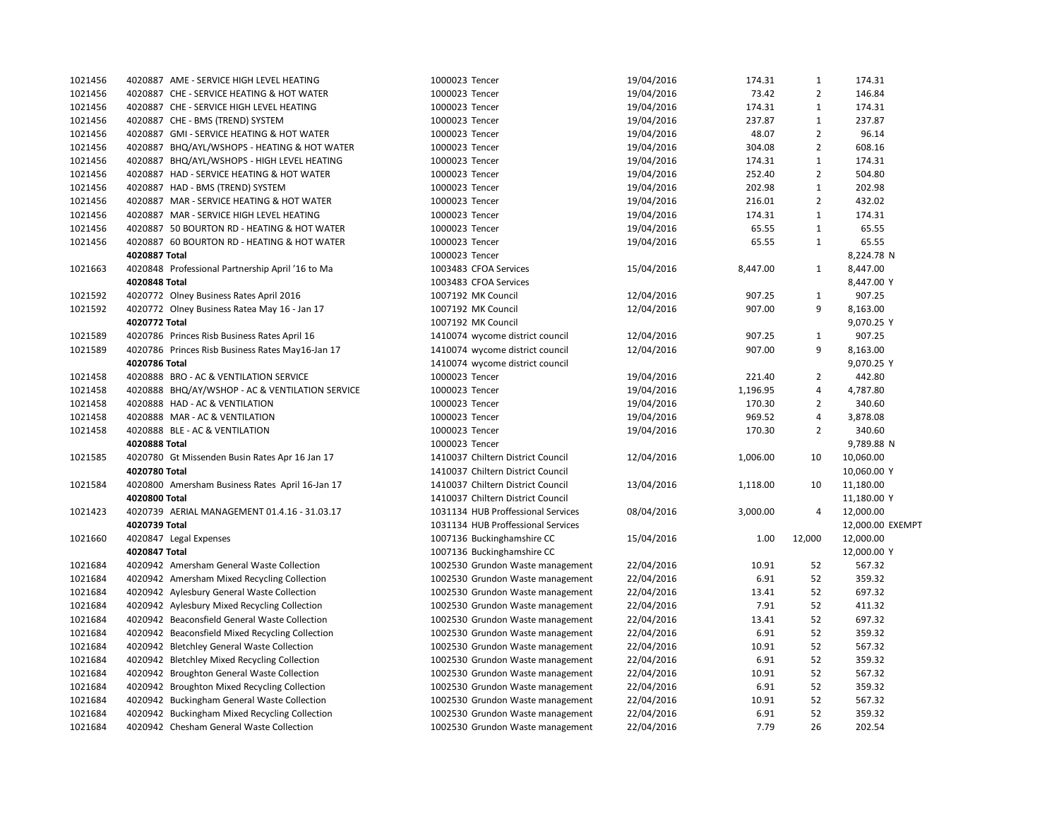| 1021456 | 4020887 AME - SERVICE HIGH LEVEL HEATING         | 1000023 Tencer                     | 19/04/2016 | 174.31   | $\mathbf{1}$   | 174.31           |
|---------|--------------------------------------------------|------------------------------------|------------|----------|----------------|------------------|
| 1021456 | 4020887 CHE - SERVICE HEATING & HOT WATER        | 1000023 Tencer                     | 19/04/2016 | 73.42    | $\overline{2}$ | 146.84           |
| 1021456 | 4020887 CHE - SERVICE HIGH LEVEL HEATING         | 1000023 Tencer                     | 19/04/2016 | 174.31   | $\mathbf{1}$   | 174.31           |
| 1021456 | 4020887 CHE - BMS (TREND) SYSTEM                 | 1000023 Tencer                     | 19/04/2016 | 237.87   | $\mathbf{1}$   | 237.87           |
| 1021456 | 4020887 GMI - SERVICE HEATING & HOT WATER        | 1000023 Tencer                     | 19/04/2016 | 48.07    | $\overline{2}$ | 96.14            |
| 1021456 | 4020887 BHQ/AYL/WSHOPS - HEATING & HOT WATER     | 1000023 Tencer                     | 19/04/2016 | 304.08   | $\overline{2}$ | 608.16           |
| 1021456 | 4020887 BHQ/AYL/WSHOPS - HIGH LEVEL HEATING      | 1000023 Tencer                     | 19/04/2016 | 174.31   | $\mathbf{1}$   | 174.31           |
| 1021456 | 4020887 HAD - SERVICE HEATING & HOT WATER        | 1000023 Tencer                     | 19/04/2016 | 252.40   | $\overline{2}$ | 504.80           |
| 1021456 | 4020887 HAD - BMS (TREND) SYSTEM                 | 1000023 Tencer                     | 19/04/2016 | 202.98   | $\mathbf{1}$   | 202.98           |
| 1021456 | 4020887 MAR - SERVICE HEATING & HOT WATER        | 1000023 Tencer                     | 19/04/2016 | 216.01   | $\overline{2}$ | 432.02           |
| 1021456 | 4020887 MAR - SERVICE HIGH LEVEL HEATING         | 1000023 Tencer                     | 19/04/2016 | 174.31   | $\mathbf{1}$   | 174.31           |
| 1021456 | 4020887 50 BOURTON RD - HEATING & HOT WATER      | 1000023 Tencer                     | 19/04/2016 | 65.55    | $\mathbf{1}$   | 65.55            |
| 1021456 | 4020887 60 BOURTON RD - HEATING & HOT WATER      | 1000023 Tencer                     | 19/04/2016 | 65.55    | 1              | 65.55            |
|         | 4020887 Total                                    | 1000023 Tencer                     |            |          |                | 8,224.78 N       |
| 1021663 | 4020848 Professional Partnership April '16 to Ma | 1003483 CFOA Services              | 15/04/2016 | 8,447.00 | $\mathbf{1}$   | 8,447.00         |
|         | 4020848 Total                                    | 1003483 CFOA Services              |            |          |                | 8,447.00 Y       |
| 1021592 | 4020772 Olney Business Rates April 2016          | 1007192 MK Council                 | 12/04/2016 | 907.25   | $\mathbf{1}$   | 907.25           |
| 1021592 | 4020772 Olney Business Ratea May 16 - Jan 17     | 1007192 MK Council                 | 12/04/2016 | 907.00   | 9              | 8,163.00         |
|         | 4020772 Total                                    | 1007192 MK Council                 |            |          |                | 9,070.25 Y       |
| 1021589 | 4020786 Princes Risb Business Rates April 16     | 1410074 wycome district council    | 12/04/2016 | 907.25   | $\mathbf{1}$   | 907.25           |
| 1021589 | 4020786 Princes Risb Business Rates May16-Jan 17 | 1410074 wycome district council    | 12/04/2016 | 907.00   | 9              | 8,163.00         |
|         | 4020786 Total                                    | 1410074 wycome district council    |            |          |                | 9,070.25 Y       |
| 1021458 | 4020888 BRO - AC & VENTILATION SERVICE           | 1000023 Tencer                     | 19/04/2016 | 221.40   | $\overline{2}$ | 442.80           |
| 1021458 | 4020888 BHQ/AY/WSHOP - AC & VENTILATION SERVICE  | 1000023 Tencer                     | 19/04/2016 | 1,196.95 | 4              | 4,787.80         |
| 1021458 | 4020888 HAD - AC & VENTILATION                   | 1000023 Tencer                     | 19/04/2016 | 170.30   | $\overline{2}$ | 340.60           |
| 1021458 | 4020888 MAR - AC & VENTILATION                   | 1000023 Tencer                     | 19/04/2016 | 969.52   | 4              | 3,878.08         |
| 1021458 | 4020888 BLE - AC & VENTILATION                   | 1000023 Tencer                     | 19/04/2016 | 170.30   | $\overline{2}$ | 340.60           |
|         | 4020888 Total                                    | 1000023 Tencer                     |            |          |                | 9,789.88 N       |
| 1021585 | 4020780 Gt Missenden Busin Rates Apr 16 Jan 17   | 1410037 Chiltern District Council  | 12/04/2016 | 1,006.00 | 10             | 10,060.00        |
|         | 4020780 Total                                    | 1410037 Chiltern District Council  |            |          |                | 10,060.00 Y      |
| 1021584 | 4020800 Amersham Business Rates April 16-Jan 17  | 1410037 Chiltern District Council  | 13/04/2016 | 1,118.00 | 10             | 11,180.00        |
|         | 4020800 Total                                    | 1410037 Chiltern District Council  |            |          |                | 11,180.00 Y      |
| 1021423 | 4020739 AERIAL MANAGEMENT 01.4.16 - 31.03.17     | 1031134 HUB Proffessional Services | 08/04/2016 | 3,000.00 | 4              | 12,000.00        |
|         | 4020739 Total                                    | 1031134 HUB Proffessional Services |            |          |                | 12,000.00 EXEMPT |
| 1021660 | 4020847 Legal Expenses                           | 1007136 Buckinghamshire CC         | 15/04/2016 | 1.00     | 12,000         | 12,000.00        |
|         | 4020847 Total                                    | 1007136 Buckinghamshire CC         |            |          |                | 12,000.00 Y      |
| 1021684 | 4020942 Amersham General Waste Collection        | 1002530 Grundon Waste management   | 22/04/2016 | 10.91    | 52             | 567.32           |
| 1021684 | 4020942 Amersham Mixed Recycling Collection      | 1002530 Grundon Waste management   | 22/04/2016 | 6.91     | 52             | 359.32           |
| 1021684 | 4020942 Aylesbury General Waste Collection       | 1002530 Grundon Waste management   | 22/04/2016 | 13.41    | 52             | 697.32           |
| 1021684 | 4020942 Aylesbury Mixed Recycling Collection     | 1002530 Grundon Waste management   | 22/04/2016 | 7.91     | 52             | 411.32           |
| 1021684 | 4020942 Beaconsfield General Waste Collection    | 1002530 Grundon Waste management   | 22/04/2016 | 13.41    | 52             | 697.32           |
| 1021684 | 4020942 Beaconsfield Mixed Recycling Collection  | 1002530 Grundon Waste management   | 22/04/2016 | 6.91     | 52             | 359.32           |
| 1021684 | 4020942 Bletchley General Waste Collection       | 1002530 Grundon Waste management   | 22/04/2016 | 10.91    | 52             | 567.32           |
| 1021684 | 4020942 Bletchley Mixed Recycling Collection     | 1002530 Grundon Waste management   | 22/04/2016 | 6.91     | 52             | 359.32           |
| 1021684 | 4020942 Broughton General Waste Collection       | 1002530 Grundon Waste management   | 22/04/2016 | 10.91    | 52             | 567.32           |
| 1021684 | 4020942 Broughton Mixed Recycling Collection     | 1002530 Grundon Waste management   | 22/04/2016 | 6.91     | 52             | 359.32           |
| 1021684 | 4020942 Buckingham General Waste Collection      | 1002530 Grundon Waste management   | 22/04/2016 | 10.91    | 52             | 567.32           |
| 1021684 | 4020942 Buckingham Mixed Recycling Collection    | 1002530 Grundon Waste management   | 22/04/2016 | 6.91     | 52             | 359.32           |
| 1021684 | 4020942 Chesham General Waste Collection         | 1002530 Grundon Waste management   | 22/04/2016 | 7.79     | 26             | 202.54           |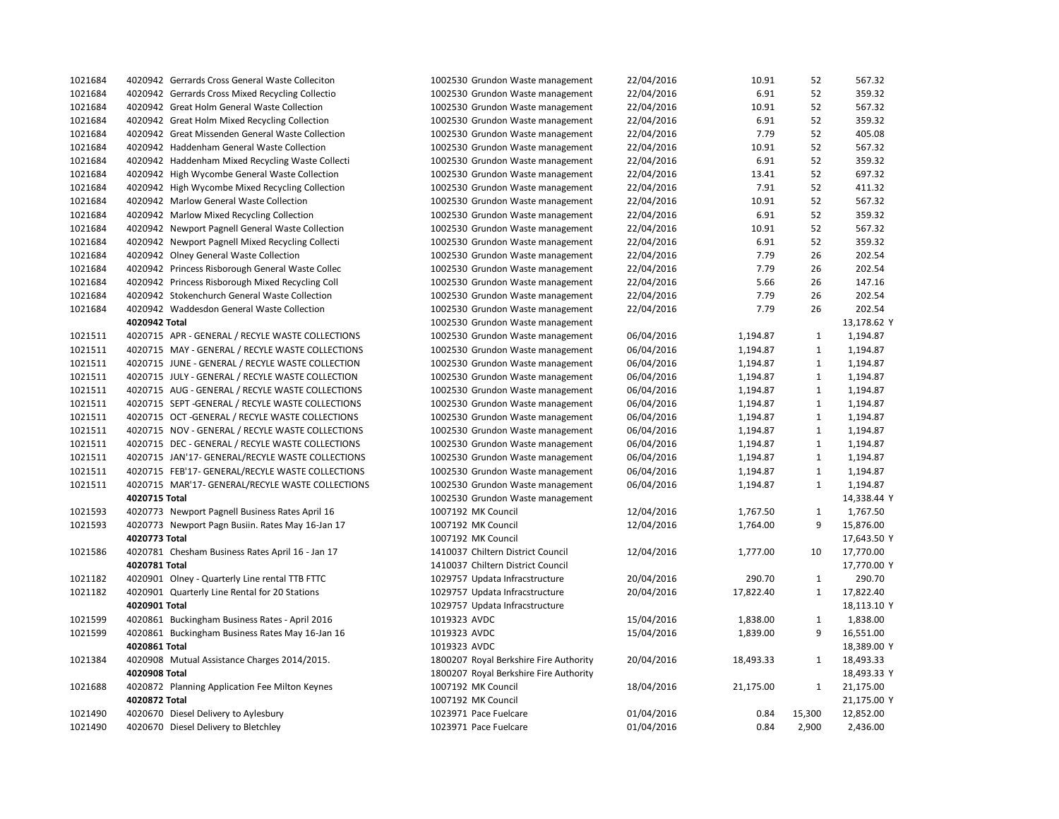| 1021684 | 4020942 Gerrards Cross General Waste Colleciton   | 1002530 Grundon Waste management       | 22/04/2016 | 10.91     | 52           | 567.32      |
|---------|---------------------------------------------------|----------------------------------------|------------|-----------|--------------|-------------|
| 1021684 | 4020942 Gerrards Cross Mixed Recycling Collectio  | 1002530 Grundon Waste management       | 22/04/2016 | 6.91      | 52           | 359.32      |
| 1021684 | 4020942 Great Holm General Waste Collection       | 1002530 Grundon Waste management       | 22/04/2016 | 10.91     | 52           | 567.32      |
| 1021684 | 4020942 Great Holm Mixed Recycling Collection     | 1002530 Grundon Waste management       | 22/04/2016 | 6.91      | 52           | 359.32      |
| 1021684 | 4020942 Great Missenden General Waste Collection  | 1002530 Grundon Waste management       | 22/04/2016 | 7.79      | 52           | 405.08      |
| 1021684 | 4020942 Haddenham General Waste Collection        | 1002530 Grundon Waste management       | 22/04/2016 | 10.91     | 52           | 567.32      |
| 1021684 | 4020942 Haddenham Mixed Recycling Waste Collecti  | 1002530 Grundon Waste management       | 22/04/2016 | 6.91      | 52           | 359.32      |
| 1021684 | 4020942 High Wycombe General Waste Collection     | 1002530 Grundon Waste management       | 22/04/2016 | 13.41     | 52           | 697.32      |
| 1021684 | 4020942 High Wycombe Mixed Recycling Collection   | 1002530 Grundon Waste management       | 22/04/2016 | 7.91      | 52           | 411.32      |
| 1021684 | 4020942 Marlow General Waste Collection           | 1002530 Grundon Waste management       | 22/04/2016 | 10.91     | 52           | 567.32      |
| 1021684 | 4020942 Marlow Mixed Recycling Collection         | 1002530 Grundon Waste management       | 22/04/2016 | 6.91      | 52           | 359.32      |
| 1021684 | 4020942 Newport Pagnell General Waste Collection  | 1002530 Grundon Waste management       | 22/04/2016 | 10.91     | 52           | 567.32      |
| 1021684 | 4020942 Newport Pagnell Mixed Recycling Collecti  | 1002530 Grundon Waste management       | 22/04/2016 | 6.91      | 52           | 359.32      |
| 1021684 | 4020942 Olney General Waste Collection            | 1002530 Grundon Waste management       | 22/04/2016 | 7.79      | 26           | 202.54      |
| 1021684 | 4020942 Princess Risborough General Waste Collec  | 1002530 Grundon Waste management       | 22/04/2016 | 7.79      | 26           | 202.54      |
| 1021684 | 4020942 Princess Risborough Mixed Recycling Coll  | 1002530 Grundon Waste management       | 22/04/2016 | 5.66      | 26           | 147.16      |
| 1021684 | 4020942 Stokenchurch General Waste Collection     | 1002530 Grundon Waste management       | 22/04/2016 | 7.79      | 26           | 202.54      |
| 1021684 | 4020942 Waddesdon General Waste Collection        | 1002530 Grundon Waste management       | 22/04/2016 | 7.79      | 26           | 202.54      |
|         | 4020942 Total                                     | 1002530 Grundon Waste management       |            |           |              | 13,178.62 Y |
| 1021511 | 4020715 APR - GENERAL / RECYLE WASTE COLLECTIONS  | 1002530 Grundon Waste management       | 06/04/2016 | 1,194.87  | 1            | 1,194.87    |
| 1021511 | 4020715 MAY - GENERAL / RECYLE WASTE COLLECTIONS  | 1002530 Grundon Waste management       | 06/04/2016 | 1,194.87  | $\mathbf{1}$ | 1,194.87    |
| 1021511 | 4020715 JUNE - GENERAL / RECYLE WASTE COLLECTION  | 1002530 Grundon Waste management       | 06/04/2016 | 1,194.87  | $\mathbf{1}$ | 1,194.87    |
| 1021511 | 4020715 JULY - GENERAL / RECYLE WASTE COLLECTION  | 1002530 Grundon Waste management       | 06/04/2016 | 1,194.87  | $\mathbf{1}$ | 1,194.87    |
| 1021511 | 4020715 AUG - GENERAL / RECYLE WASTE COLLECTIONS  | 1002530 Grundon Waste management       | 06/04/2016 | 1,194.87  | $\mathbf{1}$ | 1,194.87    |
| 1021511 | 4020715 SEPT - GENERAL / RECYLE WASTE COLLECTIONS | 1002530 Grundon Waste management       | 06/04/2016 | 1,194.87  | $\mathbf{1}$ | 1,194.87    |
| 1021511 | 4020715 OCT -GENERAL / RECYLE WASTE COLLECTIONS   | 1002530 Grundon Waste management       | 06/04/2016 | 1,194.87  | $\mathbf{1}$ | 1,194.87    |
| 1021511 | 4020715 NOV - GENERAL / RECYLE WASTE COLLECTIONS  | 1002530 Grundon Waste management       | 06/04/2016 | 1,194.87  | $\mathbf{1}$ | 1,194.87    |
| 1021511 | 4020715 DEC - GENERAL / RECYLE WASTE COLLECTIONS  | 1002530 Grundon Waste management       | 06/04/2016 | 1,194.87  | $\mathbf{1}$ | 1,194.87    |
| 1021511 | 4020715 JAN'17- GENERAL/RECYLE WASTE COLLECTIONS  | 1002530 Grundon Waste management       | 06/04/2016 | 1,194.87  | $\mathbf{1}$ | 1,194.87    |
| 1021511 | 4020715 FEB'17- GENERAL/RECYLE WASTE COLLECTIONS  | 1002530 Grundon Waste management       | 06/04/2016 | 1,194.87  | $\mathbf{1}$ | 1,194.87    |
| 1021511 | 4020715 MAR'17- GENERAL/RECYLE WASTE COLLECTIONS  | 1002530 Grundon Waste management       | 06/04/2016 | 1,194.87  | $\mathbf{1}$ | 1,194.87    |
|         | 4020715 Total                                     | 1002530 Grundon Waste management       |            |           |              | 14,338.44 Y |
| 1021593 | 4020773 Newport Pagnell Business Rates April 16   | 1007192 MK Council                     | 12/04/2016 | 1,767.50  | $\mathbf{1}$ | 1,767.50    |
| 1021593 | 4020773 Newport Pagn Busiin. Rates May 16-Jan 17  | 1007192 MK Council                     | 12/04/2016 | 1,764.00  | 9            | 15,876.00   |
|         | 4020773 Total                                     | 1007192 MK Council                     |            |           |              | 17,643.50 Y |
| 1021586 | 4020781 Chesham Business Rates April 16 - Jan 17  | 1410037 Chiltern District Council      | 12/04/2016 | 1,777.00  | 10           | 17,770.00   |
|         | 4020781 Total                                     | 1410037 Chiltern District Council      |            |           |              | 17,770.00 Y |
| 1021182 | 4020901 Olney - Quarterly Line rental TTB FTTC    | 1029757 Updata Infracstructure         | 20/04/2016 | 290.70    | $\mathbf{1}$ | 290.70      |
| 1021182 | 4020901 Quarterly Line Rental for 20 Stations     | 1029757 Updata Infracstructure         | 20/04/2016 | 17,822.40 | $\mathbf{1}$ | 17,822.40   |
|         | 4020901 Total                                     | 1029757 Updata Infracstructure         |            |           |              | 18,113.10 Y |
| 1021599 | 4020861 Buckingham Business Rates - April 2016    | 1019323 AVDC                           | 15/04/2016 | 1,838.00  | 1            | 1,838.00    |
| 1021599 | 4020861 Buckingham Business Rates May 16-Jan 16   | 1019323 AVDC                           | 15/04/2016 | 1,839.00  | 9            | 16,551.00   |
|         | 4020861 Total                                     | 1019323 AVDC                           |            |           |              | 18,389.00 Y |
| 1021384 | 4020908 Mutual Assistance Charges 2014/2015.      | 1800207 Royal Berkshire Fire Authority | 20/04/2016 | 18,493.33 | 1            | 18,493.33   |
|         | 4020908 Total                                     | 1800207 Royal Berkshire Fire Authority |            |           |              | 18,493.33 Y |
| 1021688 | 4020872 Planning Application Fee Milton Keynes    | 1007192 MK Council                     | 18/04/2016 | 21,175.00 | 1            | 21,175.00   |
|         | 4020872 Total                                     | 1007192 MK Council                     |            |           |              | 21,175.00 Y |
| 1021490 | 4020670 Diesel Delivery to Aylesbury              | 1023971 Pace Fuelcare                  | 01/04/2016 | 0.84      | 15,300       | 12,852.00   |
| 1021490 | 4020670 Diesel Delivery to Bletchley              | 1023971 Pace Fuelcare                  | 01/04/2016 | 0.84      | 2,900        | 2,436.00    |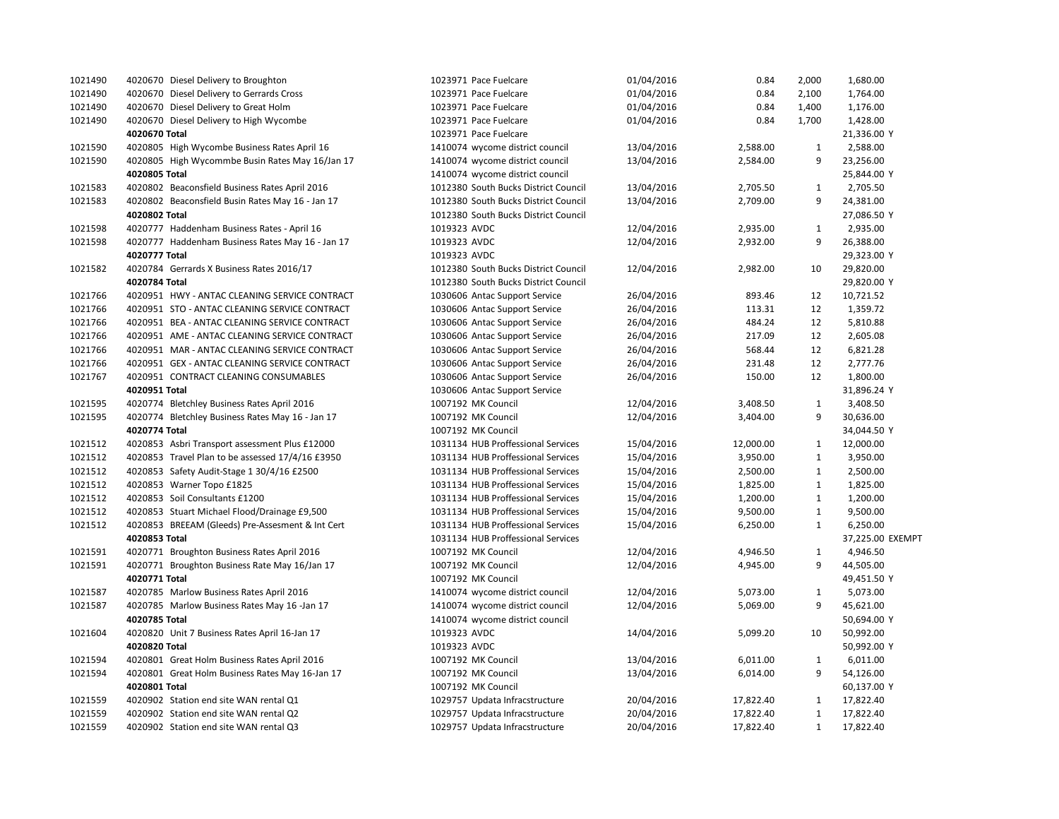| 1021490 | 4020670 Diesel Delivery to Broughton             | 1023971 Pace Fuelcare                | 01/04/2016 | 0.84      | 2,000        | 1,680.00         |
|---------|--------------------------------------------------|--------------------------------------|------------|-----------|--------------|------------------|
| 1021490 | 4020670 Diesel Delivery to Gerrards Cross        | 1023971 Pace Fuelcare                | 01/04/2016 | 0.84      | 2,100        | 1,764.00         |
| 1021490 | 4020670 Diesel Delivery to Great Holm            | 1023971 Pace Fuelcare                | 01/04/2016 | 0.84      | 1,400        | 1,176.00         |
| 1021490 | 4020670 Diesel Delivery to High Wycombe          | 1023971 Pace Fuelcare                | 01/04/2016 | 0.84      | 1,700        | 1,428.00         |
|         | 4020670 Total                                    | 1023971 Pace Fuelcare                |            |           |              | 21,336.00 Y      |
| 1021590 | 4020805 High Wycombe Business Rates April 16     | 1410074 wycome district council      | 13/04/2016 | 2,588.00  | $\mathbf{1}$ | 2,588.00         |
| 1021590 | 4020805 High Wycommbe Busin Rates May 16/Jan 17  | 1410074 wycome district council      | 13/04/2016 | 2,584.00  | 9            | 23,256.00        |
|         | 4020805 Total                                    | 1410074 wycome district council      |            |           |              | 25,844.00 Y      |
| 1021583 | 4020802 Beaconsfield Business Rates April 2016   | 1012380 South Bucks District Council | 13/04/2016 | 2,705.50  | 1            | 2,705.50         |
| 1021583 | 4020802 Beaconsfield Busin Rates May 16 - Jan 17 | 1012380 South Bucks District Council | 13/04/2016 | 2,709.00  | 9            | 24,381.00        |
|         | 4020802 Total                                    | 1012380 South Bucks District Council |            |           |              | 27,086.50 Y      |
| 1021598 | 4020777 Haddenham Business Rates - April 16      | 1019323 AVDC                         | 12/04/2016 | 2,935.00  | $\mathbf{1}$ | 2,935.00         |
| 1021598 | 4020777 Haddenham Business Rates May 16 - Jan 17 | 1019323 AVDC                         | 12/04/2016 | 2,932.00  | 9            | 26,388.00        |
|         | 4020777 Total                                    | 1019323 AVDC                         |            |           |              | 29,323.00 Y      |
| 1021582 | 4020784 Gerrards X Business Rates 2016/17        | 1012380 South Bucks District Council | 12/04/2016 | 2,982.00  | 10           | 29,820.00        |
|         | 4020784 Total                                    | 1012380 South Bucks District Council |            |           |              | 29,820.00 Y      |
| 1021766 | 4020951 HWY - ANTAC CLEANING SERVICE CONTRACT    | 1030606 Antac Support Service        | 26/04/2016 | 893.46    | 12           | 10,721.52        |
| 1021766 | 4020951 STO - ANTAC CLEANING SERVICE CONTRACT    | 1030606 Antac Support Service        | 26/04/2016 | 113.31    | 12           | 1,359.72         |
| 1021766 | 4020951 BEA - ANTAC CLEANING SERVICE CONTRACT    | 1030606 Antac Support Service        | 26/04/2016 | 484.24    | 12           | 5,810.88         |
| 1021766 | 4020951 AME - ANTAC CLEANING SERVICE CONTRACT    | 1030606 Antac Support Service        | 26/04/2016 | 217.09    | 12           | 2,605.08         |
| 1021766 | 4020951 MAR - ANTAC CLEANING SERVICE CONTRACT    | 1030606 Antac Support Service        | 26/04/2016 | 568.44    | 12           | 6,821.28         |
| 1021766 | 4020951 GEX - ANTAC CLEANING SERVICE CONTRACT    | 1030606 Antac Support Service        | 26/04/2016 | 231.48    | 12           | 2,777.76         |
| 1021767 | 4020951 CONTRACT CLEANING CONSUMABLES            | 1030606 Antac Support Service        | 26/04/2016 | 150.00    | 12           | 1,800.00         |
|         | 4020951 Total                                    | 1030606 Antac Support Service        |            |           |              | 31,896.24 Y      |
| 1021595 | 4020774 Bletchley Business Rates April 2016      | 1007192 MK Council                   | 12/04/2016 | 3,408.50  | 1            | 3,408.50         |
| 1021595 | 4020774 Bletchley Business Rates May 16 - Jan 17 | 1007192 MK Council                   | 12/04/2016 | 3,404.00  | 9            | 30,636.00        |
|         | 4020774 Total                                    | 1007192 MK Council                   |            |           |              | 34,044.50 Y      |
| 1021512 | 4020853 Asbri Transport assessment Plus £12000   | 1031134 HUB Proffessional Services   | 15/04/2016 | 12,000.00 | $\mathbf{1}$ | 12,000.00        |
| 1021512 | 4020853 Travel Plan to be assessed 17/4/16 £3950 | 1031134 HUB Proffessional Services   | 15/04/2016 | 3,950.00  | $\mathbf{1}$ | 3,950.00         |
| 1021512 | 4020853 Safety Audit-Stage 1 30/4/16 £2500       | 1031134 HUB Proffessional Services   | 15/04/2016 | 2,500.00  | 1            | 2,500.00         |
| 1021512 | 4020853 Warner Topo £1825                        | 1031134 HUB Proffessional Services   | 15/04/2016 | 1,825.00  | $\mathbf{1}$ | 1,825.00         |
| 1021512 | 4020853 Soil Consultants £1200                   | 1031134 HUB Proffessional Services   | 15/04/2016 | 1,200.00  | $\mathbf{1}$ | 1,200.00         |
| 1021512 | 4020853 Stuart Michael Flood/Drainage £9,500     | 1031134 HUB Proffessional Services   | 15/04/2016 | 9,500.00  | $\mathbf{1}$ | 9,500.00         |
| 1021512 | 4020853 BREEAM (Gleeds) Pre-Assesment & Int Cert | 1031134 HUB Proffessional Services   | 15/04/2016 | 6,250.00  | $\mathbf{1}$ | 6,250.00         |
|         | 4020853 Total                                    | 1031134 HUB Proffessional Services   |            |           |              | 37,225.00 EXEMPT |
| 1021591 | 4020771 Broughton Business Rates April 2016      | 1007192 MK Council                   | 12/04/2016 | 4,946.50  | $\mathbf{1}$ | 4,946.50         |
| 1021591 | 4020771 Broughton Business Rate May 16/Jan 17    | 1007192 MK Council                   | 12/04/2016 | 4,945.00  | 9            | 44,505.00        |
|         | 4020771 Total                                    | 1007192 MK Council                   |            |           |              | 49,451.50 Y      |
| 1021587 | 4020785 Marlow Business Rates April 2016         | 1410074 wycome district council      | 12/04/2016 | 5,073.00  | $\mathbf{1}$ | 5,073.00         |
| 1021587 | 4020785 Marlow Business Rates May 16 -Jan 17     | 1410074 wycome district council      | 12/04/2016 | 5,069.00  | 9            | 45,621.00        |
|         | 4020785 Total                                    | 1410074 wycome district council      |            |           |              | 50,694.00 Y      |
| 1021604 | 4020820 Unit 7 Business Rates April 16-Jan 17    | 1019323 AVDC                         | 14/04/2016 | 5,099.20  | 10           | 50,992.00        |
|         | 4020820 Total                                    | 1019323 AVDC                         |            |           |              | 50,992.00 Y      |
| 1021594 | 4020801 Great Holm Business Rates April 2016     | 1007192 MK Council                   | 13/04/2016 | 6,011.00  | $\mathbf{1}$ | 6,011.00         |
| 1021594 | 4020801 Great Holm Business Rates May 16-Jan 17  | 1007192 MK Council                   | 13/04/2016 | 6,014.00  | 9            | 54,126.00        |
|         | 4020801 Total                                    | 1007192 MK Council                   |            |           |              | 60,137.00 Y      |
| 1021559 | 4020902 Station end site WAN rental Q1           | 1029757 Updata Infracstructure       | 20/04/2016 | 17,822.40 | 1            | 17,822.40        |
| 1021559 | 4020902 Station end site WAN rental Q2           | 1029757 Updata Infracstructure       | 20/04/2016 | 17,822.40 | $\mathbf{1}$ | 17,822.40        |
| 1021559 | 4020902 Station end site WAN rental Q3           | 1029757 Updata Infracstructure       | 20/04/2016 | 17,822.40 | $\mathbf{1}$ | 17,822.40        |